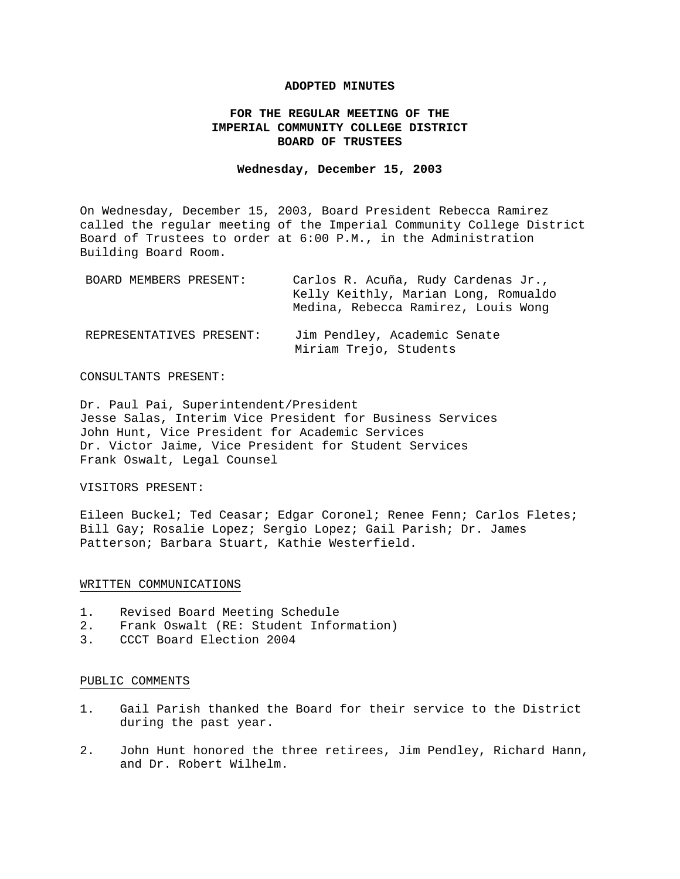### **ADOPTED MINUTES**

# **FOR THE REGULAR MEETING OF THE IMPERIAL COMMUNITY COLLEGE DISTRICT BOARD OF TRUSTEES**

#### **Wednesday, December 15, 2003**

On Wednesday, December 15, 2003, Board President Rebecca Ramirez called the regular meeting of the Imperial Community College District Board of Trustees to order at 6:00 P.M., in the Administration Building Board Room.

| BOARD MEMBERS PRESENT:   | Carlos R. Acuña, Rudy Cardenas Jr.,<br>Kelly Keithly, Marian Long, Romualdo<br>Medina, Rebecca Ramirez, Louis Wong |
|--------------------------|--------------------------------------------------------------------------------------------------------------------|
| REPRESENTATIVES PRESENT: | Jim Pendley, Academic Senate<br>Miriam Trejo, Students                                                             |

### CONSULTANTS PRESENT:

Dr. Paul Pai, Superintendent/President Jesse Salas, Interim Vice President for Business Services John Hunt, Vice President for Academic Services Dr. Victor Jaime, Vice President for Student Services Frank Oswalt, Legal Counsel

VISITORS PRESENT:

Eileen Buckel; Ted Ceasar; Edgar Coronel; Renee Fenn; Carlos Fletes; Bill Gay; Rosalie Lopez; Sergio Lopez; Gail Parish; Dr. James Patterson; Barbara Stuart, Kathie Westerfield.

### WRITTEN COMMUNICATIONS

- 1. Revised Board Meeting Schedule
- 2. Frank Oswalt (RE: Student Information)
- 3. CCCT Board Election 2004

### PUBLIC COMMENTS

- 1. Gail Parish thanked the Board for their service to the District during the past year.
- 2. John Hunt honored the three retirees, Jim Pendley, Richard Hann, and Dr. Robert Wilhelm.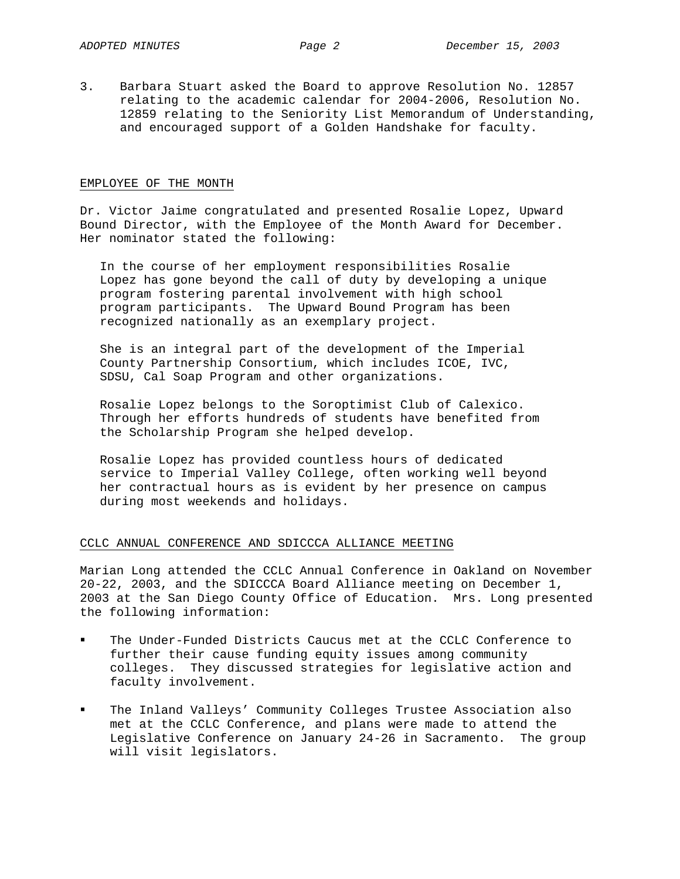3. Barbara Stuart asked the Board to approve Resolution No. 12857 relating to the academic calendar for 2004-2006, Resolution No. 12859 relating to the Seniority List Memorandum of Understanding, and encouraged support of a Golden Handshake for faculty.

#### EMPLOYEE OF THE MONTH

Dr. Victor Jaime congratulated and presented Rosalie Lopez, Upward Bound Director, with the Employee of the Month Award for December. Her nominator stated the following:

In the course of her employment responsibilities Rosalie Lopez has gone beyond the call of duty by developing a unique program fostering parental involvement with high school program participants. The Upward Bound Program has been recognized nationally as an exemplary project.

She is an integral part of the development of the Imperial County Partnership Consortium, which includes ICOE, IVC, SDSU, Cal Soap Program and other organizations.

Rosalie Lopez belongs to the Soroptimist Club of Calexico. Through her efforts hundreds of students have benefited from the Scholarship Program she helped develop.

Rosalie Lopez has provided countless hours of dedicated service to Imperial Valley College, often working well beyond her contractual hours as is evident by her presence on campus during most weekends and holidays.

# CCLC ANNUAL CONFERENCE AND SDICCCA ALLIANCE MEETING

Marian Long attended the CCLC Annual Conference in Oakland on November 20-22, 2003, and the SDICCCA Board Alliance meeting on December 1, 2003 at the San Diego County Office of Education. Mrs. Long presented the following information:

- The Under-Funded Districts Caucus met at the CCLC Conference to further their cause funding equity issues among community colleges. They discussed strategies for legislative action and faculty involvement.
- The Inland Valleys' Community Colleges Trustee Association also met at the CCLC Conference, and plans were made to attend the Legislative Conference on January 24-26 in Sacramento. The group will visit legislators.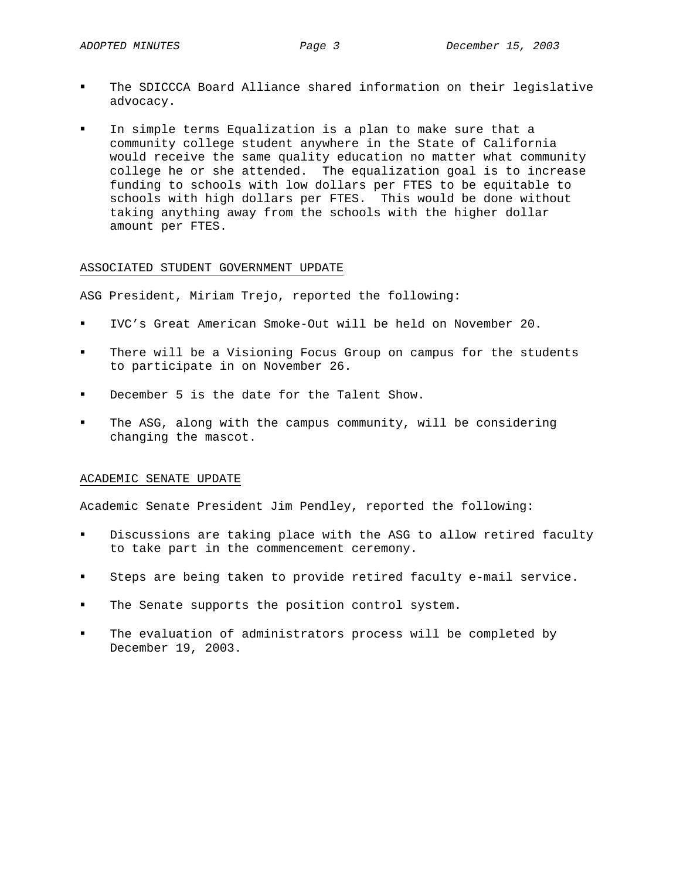- The SDICCCA Board Alliance shared information on their legislative advocacy.
- In simple terms Equalization is a plan to make sure that a community college student anywhere in the State of California would receive the same quality education no matter what community college he or she attended. The equalization goal is to increase funding to schools with low dollars per FTES to be equitable to schools with high dollars per FTES. This would be done without taking anything away from the schools with the higher dollar amount per FTES.

### ASSOCIATED STUDENT GOVERNMENT UPDATE

ASG President, Miriam Trejo, reported the following:

- IVC's Great American Smoke-Out will be held on November 20.
- There will be a Visioning Focus Group on campus for the students to participate in on November 26.
- December 5 is the date for the Talent Show.
- The ASG, along with the campus community, will be considering changing the mascot.

#### ACADEMIC SENATE UPDATE

Academic Senate President Jim Pendley, reported the following:

- Discussions are taking place with the ASG to allow retired faculty to take part in the commencement ceremony.
- Steps are being taken to provide retired faculty e-mail service.
- The Senate supports the position control system.
- The evaluation of administrators process will be completed by December 19, 2003.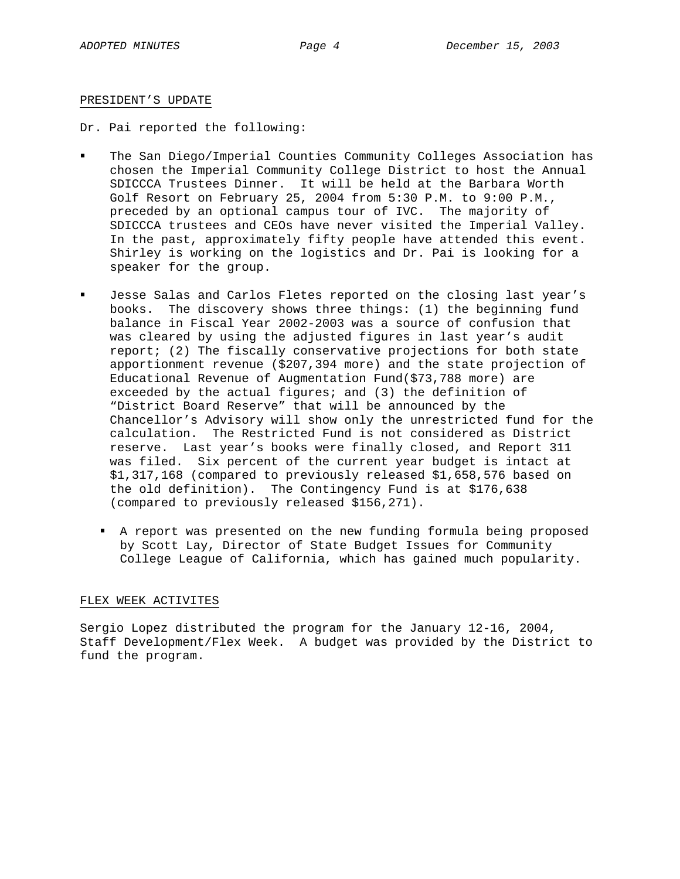#### PRESIDENT'S UPDATE

Dr. Pai reported the following:

- The San Diego/Imperial Counties Community Colleges Association has chosen the Imperial Community College District to host the Annual SDICCCA Trustees Dinner. It will be held at the Barbara Worth Golf Resort on February 25, 2004 from 5:30 P.M. to 9:00 P.M., preceded by an optional campus tour of IVC. The majority of SDICCCA trustees and CEOs have never visited the Imperial Valley. In the past, approximately fifty people have attended this event. Shirley is working on the logistics and Dr. Pai is looking for a speaker for the group.
- Jesse Salas and Carlos Fletes reported on the closing last year's books. The discovery shows three things: (1) the beginning fund balance in Fiscal Year 2002-2003 was a source of confusion that was cleared by using the adjusted figures in last year's audit report; (2) The fiscally conservative projections for both state apportionment revenue (\$207,394 more) and the state projection of Educational Revenue of Augmentation Fund(\$73,788 more) are exceeded by the actual figures; and (3) the definition of "District Board Reserve" that will be announced by the Chancellor's Advisory will show only the unrestricted fund for the calculation. The Restricted Fund is not considered as District reserve. Last year's books were finally closed, and Report 311 was filed. Six percent of the current year budget is intact at \$1,317,168 (compared to previously released \$1,658,576 based on the old definition). The Contingency Fund is at \$176,638 (compared to previously released \$156,271).
	- A report was presented on the new funding formula being proposed by Scott Lay, Director of State Budget Issues for Community College League of California, which has gained much popularity.

#### FLEX WEEK ACTIVITES

Sergio Lopez distributed the program for the January 12-16, 2004, Staff Development/Flex Week. A budget was provided by the District to fund the program.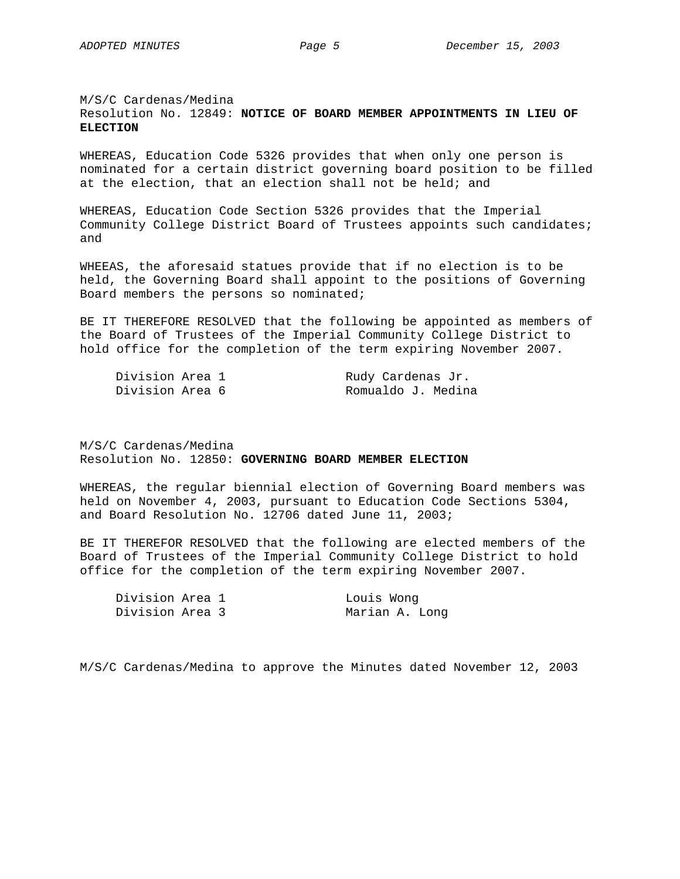# M/S/C Cardenas/Medina Resolution No. 12849: **NOTICE OF BOARD MEMBER APPOINTMENTS IN LIEU OF ELECTION**

WHEREAS, Education Code 5326 provides that when only one person is nominated for a certain district governing board position to be filled at the election, that an election shall not be held; and

WHEREAS, Education Code Section 5326 provides that the Imperial Community College District Board of Trustees appoints such candidates; and

WHEEAS, the aforesaid statues provide that if no election is to be held, the Governing Board shall appoint to the positions of Governing Board members the persons so nominated;

BE IT THEREFORE RESOLVED that the following be appointed as members of the Board of Trustees of the Imperial Community College District to hold office for the completion of the term expiring November 2007.

| Division Area 1 |  | Rudy Cardenas Jr.  |
|-----------------|--|--------------------|
| Division Area 6 |  | Romualdo J. Medina |

M/S/C Cardenas/Medina Resolution No. 12850: **GOVERNING BOARD MEMBER ELECTION**

WHEREAS, the regular biennial election of Governing Board members was held on November 4, 2003, pursuant to Education Code Sections 5304, and Board Resolution No. 12706 dated June 11, 2003;

BE IT THEREFOR RESOLVED that the following are elected members of the Board of Trustees of the Imperial Community College District to hold office for the completion of the term expiring November 2007.

| Division Area 1 |  | Louis Wong     |
|-----------------|--|----------------|
| Division Area 3 |  | Marian A. Long |

M/S/C Cardenas/Medina to approve the Minutes dated November 12, 2003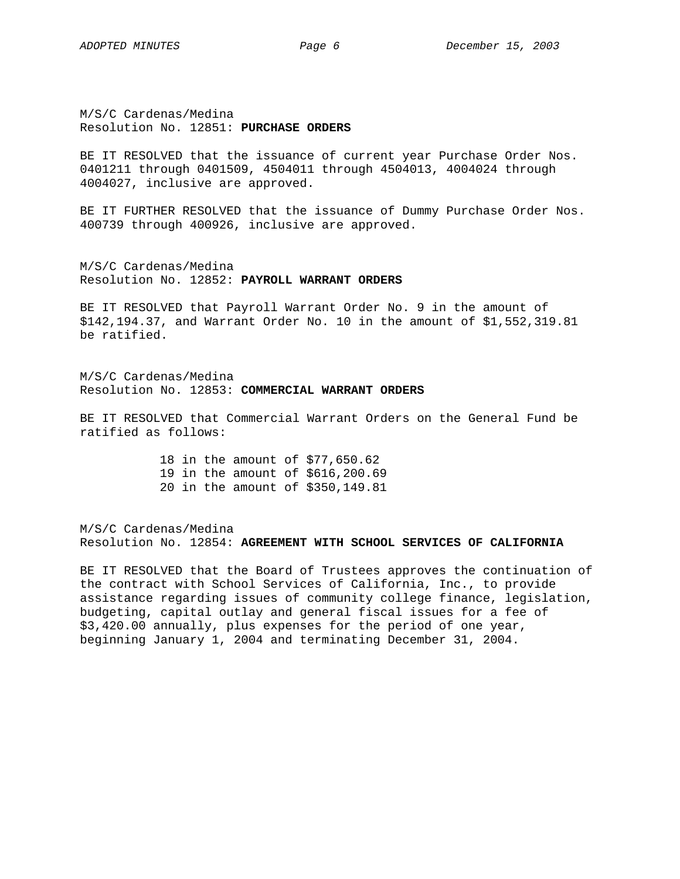M/S/C Cardenas/Medina Resolution No. 12851: **PURCHASE ORDERS**

BE IT RESOLVED that the issuance of current year Purchase Order Nos. 0401211 through 0401509, 4504011 through 4504013, 4004024 through 4004027, inclusive are approved.

BE IT FURTHER RESOLVED that the issuance of Dummy Purchase Order Nos. 400739 through 400926, inclusive are approved.

M/S/C Cardenas/Medina Resolution No. 12852: **PAYROLL WARRANT ORDERS**

BE IT RESOLVED that Payroll Warrant Order No. 9 in the amount of \$142,194.37, and Warrant Order No. 10 in the amount of \$1,552,319.81 be ratified.

M/S/C Cardenas/Medina Resolution No. 12853: **COMMERCIAL WARRANT ORDERS**

BE IT RESOLVED that Commercial Warrant Orders on the General Fund be ratified as follows:

> 18 in the amount of \$77,650.62 19 in the amount of \$616,200.69 20 in the amount of \$350,149.81

M/S/C Cardenas/Medina Resolution No. 12854: **AGREEMENT WITH SCHOOL SERVICES OF CALIFORNIA** 

BE IT RESOLVED that the Board of Trustees approves the continuation of the contract with School Services of California, Inc., to provide assistance regarding issues of community college finance, legislation, budgeting, capital outlay and general fiscal issues for a fee of \$3,420.00 annually, plus expenses for the period of one year, beginning January 1, 2004 and terminating December 31, 2004.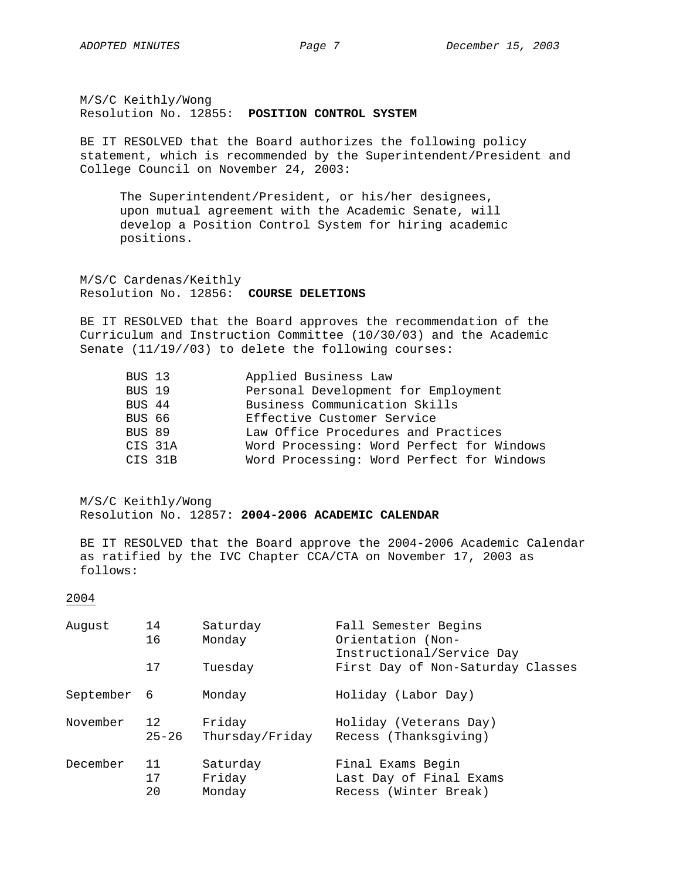M/S/C Keithly/Wong Resolution No. 12855: **POSITION CONTROL SYSTEM**

BE IT RESOLVED that the Board authorizes the following policy statement, which is recommended by the Superintendent/President and College Council on November 24, 2003:

The Superintendent/President, or his/her designees, upon mutual agreement with the Academic Senate, will develop a Position Control System for hiring academic positions.

M/S/C Cardenas/Keithly Resolution No. 12856: **COURSE DELETIONS**

BE IT RESOLVED that the Board approves the recommendation of the Curriculum and Instruction Committee (10/30/03) and the Academic Senate (11/19//03) to delete the following courses:

| BUS 13  | Applied Business Law                      |  |  |  |
|---------|-------------------------------------------|--|--|--|
| BUS 19  | Personal Development for Employment       |  |  |  |
| BUS 44  | Business Communication Skills             |  |  |  |
| BUS 66  | Effective Customer Service                |  |  |  |
| BUS 89  | Law Office Procedures and Practices       |  |  |  |
| CIS 31A | Word Processing: Word Perfect for Windows |  |  |  |
| CIS 31B | Word Processing: Word Perfect for Windows |  |  |  |

M/S/C Keithly/Wong Resolution No. 12857: **2004-2006 ACADEMIC CALENDAR**

BE IT RESOLVED that the Board approve the 2004-2006 Academic Calendar as ratified by the IVC Chapter CCA/CTA on November 17, 2003 as follows:

# 2004

| August    | 14        | Saturday        | Fall Semester Begins                                           |
|-----------|-----------|-----------------|----------------------------------------------------------------|
|           | 16        | Monday          | Orientation (Non-                                              |
|           | 17        | Tuesday         | Instructional/Service Day<br>First Day of Non-Saturday Classes |
| September | - 6       | Monday          | Holiday (Labor Day)                                            |
| November  | 12        | Friday          | Holiday (Veterans Day)                                         |
|           | $25 - 26$ | Thursday/Friday | Recess (Thanksgiving)                                          |
| December  | 11        | Saturday        | Final Exams Begin                                              |
|           | 17        | Friday          | Last Day of Final Exams                                        |
|           | 20        | Monday          | Recess (Winter Break)                                          |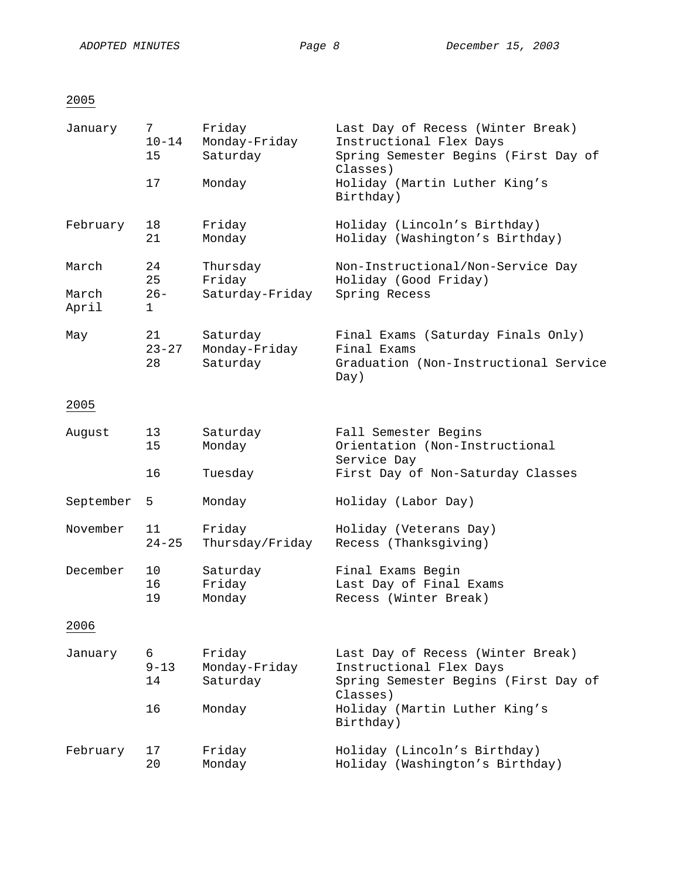# 2005

| January        | 7<br>$10 - 14$<br>15  | Friday<br>Monday-Friday<br>Saturday   | Last Day of Recess (Winter Break)<br>Instructional Flex Days<br>Spring Semester Begins (First Day of<br>Classes) |
|----------------|-----------------------|---------------------------------------|------------------------------------------------------------------------------------------------------------------|
|                | 17                    | Monday                                | Holiday (Martin Luther King's<br>Birthday)                                                                       |
| February       | 18<br>21              | Friday<br>Monday                      | Holiday (Lincoln's Birthday)<br>Holiday (Washington's Birthday)                                                  |
| March          | 24<br>25              | Thursday<br>Friday                    | Non-Instructional/Non-Service Day<br>Holiday (Good Friday)                                                       |
| March<br>April | $26 -$<br>1           | Saturday-Friday                       | Spring Recess                                                                                                    |
| May            | 21<br>$23 - 27$<br>28 | Saturday<br>Monday-Friday<br>Saturday | Final Exams (Saturday Finals Only)<br>Final Exams<br>Graduation (Non-Instructional Service<br>Day)               |
| 2005           |                       |                                       |                                                                                                                  |
| August         | 13<br>15              | Saturday<br>Monday                    | Fall Semester Begins<br>Orientation (Non-Instructional<br>Service Day                                            |
|                | 16                    | Tuesday                               | First Day of Non-Saturday Classes                                                                                |
| September      | 5                     | Monday                                | Holiday (Labor Day)                                                                                              |
| November       | 11<br>$24 - 25$       | Friday<br>Thursday/Friday             | Holiday (Veterans Day)<br>Recess (Thanksgiving)                                                                  |
| December       | 10<br>16<br>19        | Saturday<br>Friday<br>Monday          | Final Exams Begin<br>Last Day of Final Exams<br>Recess (Winter Break)                                            |
| 2006           |                       |                                       |                                                                                                                  |
| January        | 6<br>$9 - 13$<br>14   | Friday<br>Monday-Friday<br>Saturday   | Last Day of Recess (Winter Break)<br>Instructional Flex Days<br>Spring Semester Begins (First Day of<br>Classes) |
|                | 16                    | Monday                                | Holiday (Martin Luther King's<br>Birthday)                                                                       |
| February       | 17<br>20              | Friday<br>Monday                      | Holiday (Lincoln's Birthday)<br>Holiday (Washington's Birthday)                                                  |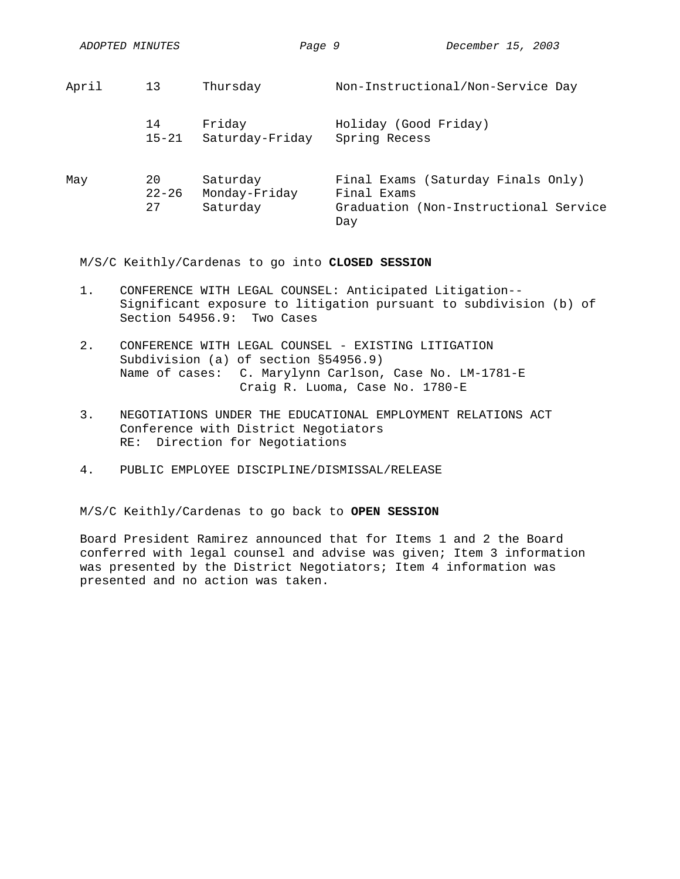| ADOPTED MINUTES |
|-----------------|
|                 |

| April | 13        | Thursday        | Non-Instructional/Non-Service Day     |  |  |
|-------|-----------|-----------------|---------------------------------------|--|--|
|       | 14        | Friday          | Holiday (Good Friday)                 |  |  |
|       | $15 - 21$ | Saturday-Friday | Spring Recess                         |  |  |
| May   | 20        | Saturday        | Final Exams (Saturday Finals Only)    |  |  |
|       | $22 - 26$ | Monday-Friday   | Final Exams                           |  |  |
|       | 27        | Saturday        | Graduation (Non-Instructional Service |  |  |

M/S/C Keithly/Cardenas to go into **CLOSED SESSION** 

1. CONFERENCE WITH LEGAL COUNSEL: Anticipated Litigation-- Significant exposure to litigation pursuant to subdivision (b) of Section 54956.9: Two Cases

Day

- 2. CONFERENCE WITH LEGAL COUNSEL EXISTING LITIGATION Subdivision (a) of section §54956.9) Name of cases: C. Marylynn Carlson, Case No. LM-1781-E Craig R. Luoma, Case No. 1780-E
- 3. NEGOTIATIONS UNDER THE EDUCATIONAL EMPLOYMENT RELATIONS ACT Conference with District Negotiators RE: Direction for Negotiations
- 4. PUBLIC EMPLOYEE DISCIPLINE/DISMISSAL/RELEASE

M/S/C Keithly/Cardenas to go back to **OPEN SESSION** 

Board President Ramirez announced that for Items 1 and 2 the Board conferred with legal counsel and advise was given; Item 3 information was presented by the District Negotiators; Item 4 information was presented and no action was taken.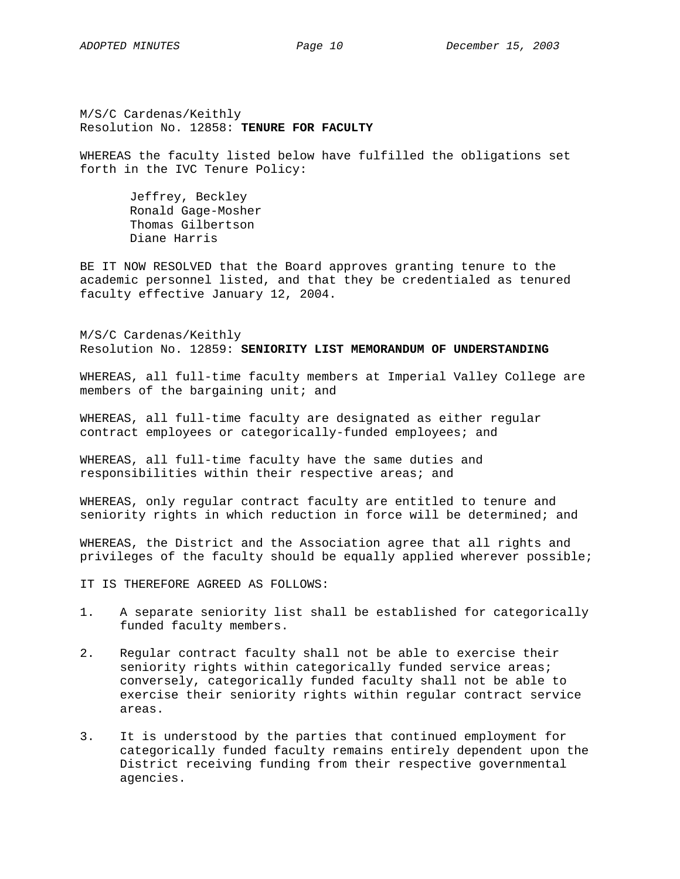M/S/C Cardenas/Keithly Resolution No. 12858: **TENURE FOR FACULTY** 

WHEREAS the faculty listed below have fulfilled the obligations set forth in the IVC Tenure Policy:

 Jeffrey, Beckley Ronald Gage-Mosher Thomas Gilbertson Diane Harris

BE IT NOW RESOLVED that the Board approves granting tenure to the academic personnel listed, and that they be credentialed as tenured faculty effective January 12, 2004.

M/S/C Cardenas/Keithly Resolution No. 12859: **SENIORITY LIST MEMORANDUM OF UNDERSTANDING** 

WHEREAS, all full-time faculty members at Imperial Valley College are members of the bargaining unit; and

WHEREAS, all full-time faculty are designated as either regular contract employees or categorically-funded employees; and

WHEREAS, all full-time faculty have the same duties and responsibilities within their respective areas; and

WHEREAS, only regular contract faculty are entitled to tenure and seniority rights in which reduction in force will be determined; and

WHEREAS, the District and the Association agree that all rights and privileges of the faculty should be equally applied wherever possible;

IT IS THEREFORE AGREED AS FOLLOWS:

- 1. A separate seniority list shall be established for categorically funded faculty members.
- 2. Regular contract faculty shall not be able to exercise their seniority rights within categorically funded service areas; conversely, categorically funded faculty shall not be able to exercise their seniority rights within regular contract service areas.
- 3. It is understood by the parties that continued employment for categorically funded faculty remains entirely dependent upon the District receiving funding from their respective governmental agencies.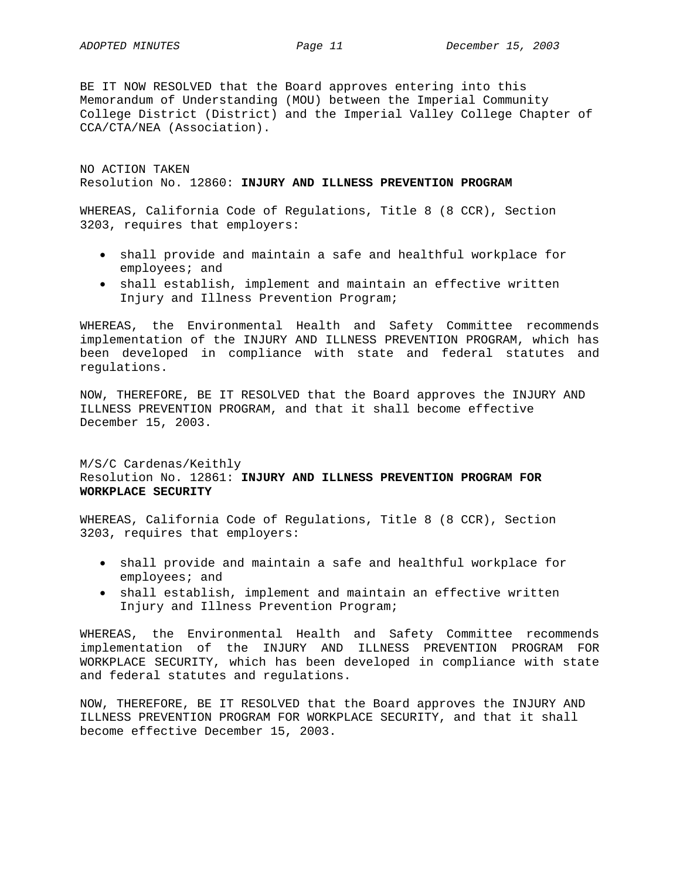BE IT NOW RESOLVED that the Board approves entering into this Memorandum of Understanding (MOU) between the Imperial Community College District (District) and the Imperial Valley College Chapter of CCA/CTA/NEA (Association).

NO ACTION TAKEN Resolution No. 12860: **INJURY AND ILLNESS PREVENTION PROGRAM** 

WHEREAS, California Code of Regulations, Title 8 (8 CCR), Section 3203, requires that employers:

- shall provide and maintain a safe and healthful workplace for employees; and
- shall establish, implement and maintain an effective written Injury and Illness Prevention Program;

WHEREAS, the Environmental Health and Safety Committee recommends implementation of the INJURY AND ILLNESS PREVENTION PROGRAM, which has been developed in compliance with state and federal statutes and regulations.

NOW, THEREFORE, BE IT RESOLVED that the Board approves the INJURY AND ILLNESS PREVENTION PROGRAM, and that it shall become effective December 15, 2003.

# M/S/C Cardenas/Keithly Resolution No. 12861: **INJURY AND ILLNESS PREVENTION PROGRAM FOR WORKPLACE SECURITY**

WHEREAS, California Code of Regulations, Title 8 (8 CCR), Section 3203, requires that employers:

- shall provide and maintain a safe and healthful workplace for employees; and
- shall establish, implement and maintain an effective written Injury and Illness Prevention Program;

WHEREAS, the Environmental Health and Safety Committee recommends implementation of the INJURY AND ILLNESS PREVENTION PROGRAM FOR WORKPLACE SECURITY, which has been developed in compliance with state and federal statutes and regulations.

NOW, THEREFORE, BE IT RESOLVED that the Board approves the INJURY AND ILLNESS PREVENTION PROGRAM FOR WORKPLACE SECURITY, and that it shall become effective December 15, 2003.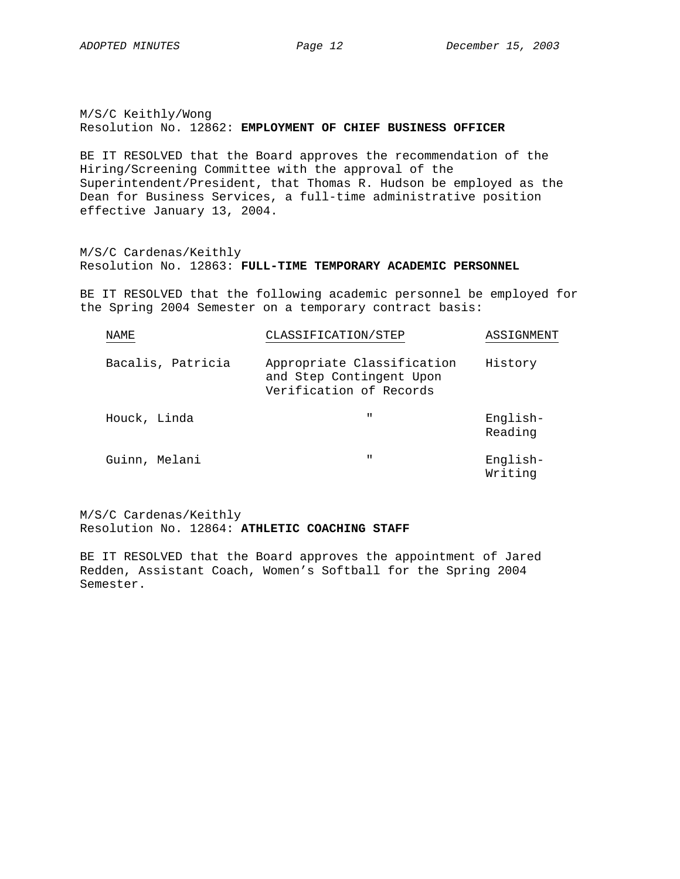M/S/C Keithly/Wong Resolution No. 12862: **EMPLOYMENT OF CHIEF BUSINESS OFFICER**

BE IT RESOLVED that the Board approves the recommendation of the Hiring/Screening Committee with the approval of the Superintendent/President, that Thomas R. Hudson be employed as the Dean for Business Services, a full-time administrative position effective January 13, 2004.

M/S/C Cardenas/Keithly Resolution No. 12863: **FULL-TIME TEMPORARY ACADEMIC PERSONNEL**

BE IT RESOLVED that the following academic personnel be employed for the Spring 2004 Semester on a temporary contract basis:

| <b>NAME</b>       | CLASSIFICATION/STEP                                                               | ASSIGNMENT          |
|-------------------|-----------------------------------------------------------------------------------|---------------------|
| Bacalis, Patricia | Appropriate Classification<br>and Step Contingent Upon<br>Verification of Records | History             |
| Houck, Linda      | $\mathbf{H}$                                                                      | English-<br>Reading |
| Guinn, Melani     | $\mathbf{H}$                                                                      | English-<br>Writing |

M/S/C Cardenas/Keithly Resolution No. 12864: **ATHLETIC COACHING STAFF**

BE IT RESOLVED that the Board approves the appointment of Jared Redden, Assistant Coach, Women's Softball for the Spring 2004 Semester.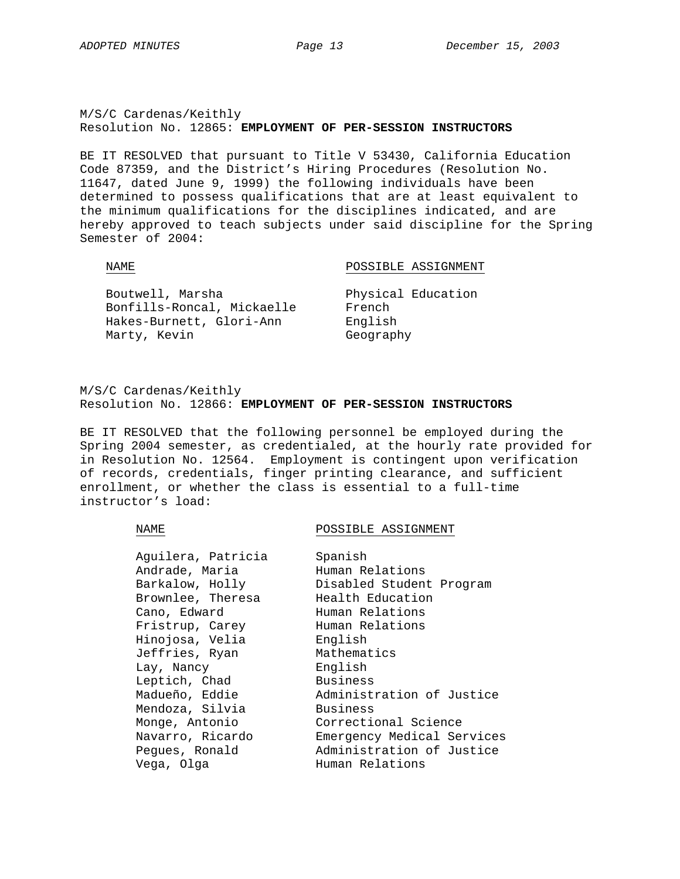M/S/C Cardenas/Keithly Resolution No. 12865: **EMPLOYMENT OF PER-SESSION INSTRUCTORS**

BE IT RESOLVED that pursuant to Title V 53430, California Education Code 87359, and the District's Hiring Procedures (Resolution No. 11647, dated June 9, 1999) the following individuals have been determined to possess qualifications that are at least equivalent to the minimum qualifications for the disciplines indicated, and are hereby approved to teach subjects under said discipline for the Spring Semester of 2004:

NAME NAME POSSIBLE ASSIGNMENT

| Boutwell, Marsha           | Physical Education |
|----------------------------|--------------------|
| Bonfills-Roncal, Mickaelle | French             |
| Hakes-Burnett, Glori-Ann   | English            |
| Marty, Kevin               | Geography          |

M/S/C Cardenas/Keithly Resolution No. 12866: **EMPLOYMENT OF PER-SESSION INSTRUCTORS**

BE IT RESOLVED that the following personnel be employed during the Spring 2004 semester, as credentialed, at the hourly rate provided for in Resolution No. 12564. Employment is contingent upon verification of records, credentials, finger printing clearance, and sufficient enrollment, or whether the class is essential to a full-time instructor's load:

NAME POSSIBLE ASSIGNMENT

| Aguilera, Patricia | Spanish                    |
|--------------------|----------------------------|
|                    |                            |
| Andrade, Maria     | Human Relations            |
| Barkalow, Holly    | Disabled Student Program   |
| Brownlee, Theresa  | Health Education           |
| Cano, Edward       | Human Relations            |
| Fristrup, Carey    | Human Relations            |
| Hinojosa, Velia    | English                    |
| Jeffries, Ryan     | Mathematics                |
| Lay, Nancy         | English                    |
| Leptich, Chad      | <b>Business</b>            |
| Madueño, Eddie     | Administration of Justice  |
| Mendoza, Silvia    | Business                   |
| Monge, Antonio     | Correctional Science       |
| Navarro, Ricardo   | Emergency Medical Services |
| Pegues, Ronald     | Administration of Justice  |
| Vega, Olga         | Human Relations            |
|                    |                            |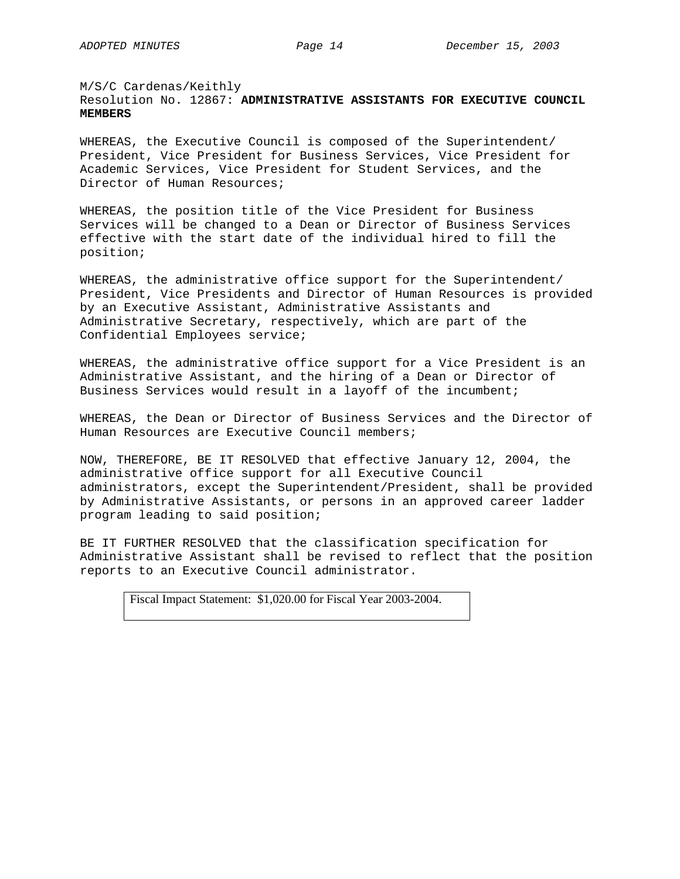# M/S/C Cardenas/Keithly Resolution No. 12867: **ADMINISTRATIVE ASSISTANTS FOR EXECUTIVE COUNCIL MEMBERS**

WHEREAS, the Executive Council is composed of the Superintendent/ President, Vice President for Business Services, Vice President for Academic Services, Vice President for Student Services, and the Director of Human Resources;

WHEREAS, the position title of the Vice President for Business Services will be changed to a Dean or Director of Business Services effective with the start date of the individual hired to fill the position;

WHEREAS, the administrative office support for the Superintendent/ President, Vice Presidents and Director of Human Resources is provided by an Executive Assistant, Administrative Assistants and Administrative Secretary, respectively, which are part of the Confidential Employees service;

WHEREAS, the administrative office support for a Vice President is an Administrative Assistant, and the hiring of a Dean or Director of Business Services would result in a layoff of the incumbent;

WHEREAS, the Dean or Director of Business Services and the Director of Human Resources are Executive Council members;

NOW, THEREFORE, BE IT RESOLVED that effective January 12, 2004, the administrative office support for all Executive Council administrators, except the Superintendent/President, shall be provided by Administrative Assistants, or persons in an approved career ladder program leading to said position;

BE IT FURTHER RESOLVED that the classification specification for Administrative Assistant shall be revised to reflect that the position reports to an Executive Council administrator.

Fiscal Impact Statement: \$1,020.00 for Fiscal Year 2003-2004.